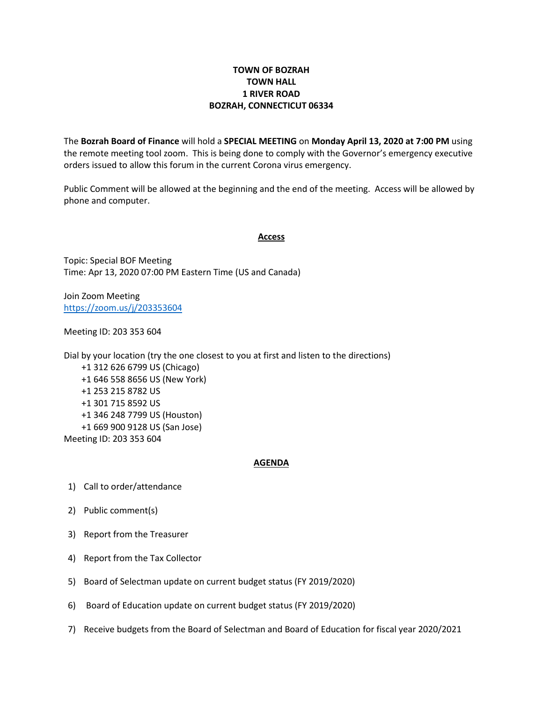## **TOWN OF BOZRAH TOWN HALL 1 RIVER ROAD BOZRAH, CONNECTICUT 06334**

The **Bozrah Board of Finance** will hold a **SPECIAL MEETING** on **Monday April 13, 2020 at 7:00 PM** using the remote meeting tool zoom. This is being done to comply with the Governor's emergency executive orders issued to allow this forum in the current Corona virus emergency.

Public Comment will be allowed at the beginning and the end of the meeting. Access will be allowed by phone and computer.

## **Access**

Topic: Special BOF Meeting Time: Apr 13, 2020 07:00 PM Eastern Time (US and Canada)

Join Zoom Meeting <https://zoom.us/j/203353604>

Meeting ID: 203 353 604

Dial by your location (try the one closest to you at first and listen to the directions) +1 312 626 6799 US (Chicago) +1 646 558 8656 US (New York) +1 253 215 8782 US +1 301 715 8592 US +1 346 248 7799 US (Houston) +1 669 900 9128 US (San Jose) Meeting ID: 203 353 604

## **AGENDA**

- 1) Call to order/attendance
- 2) Public comment(s)
- 3) Report from the Treasurer
- 4) Report from the Tax Collector
- 5) Board of Selectman update on current budget status (FY 2019/2020)
- 6) Board of Education update on current budget status (FY 2019/2020)
- 7) Receive budgets from the Board of Selectman and Board of Education for fiscal year 2020/2021